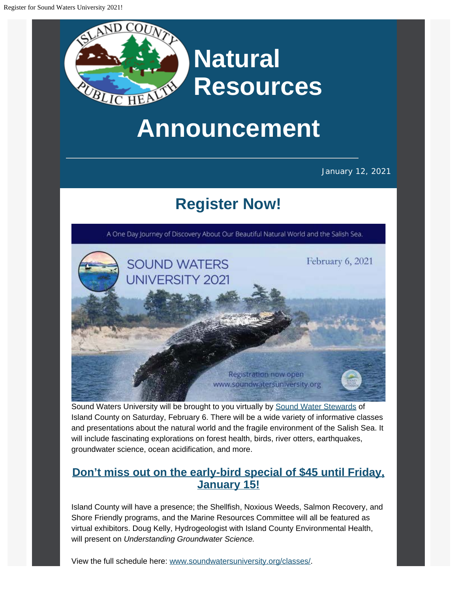

## **Announcement**

January 12, 2021

## **[Register Now!](https://www.soundwatersuniversity.org/?utm_content=&utm_medium=email&utm_name=&utm_source=govdelivery&utm_term=)**

A One Day Journey of Discovery About Our Beautiful Natural World and the Salish Sea.



Sound Waters University will be brought to you virtually by [Sound Water Stewards](https://soundwaterstewards.org/web/?utm_content=&utm_medium=email&utm_name=&utm_source=govdelivery&utm_term=) of Island County on Saturday, February 6. There will be a wide variety of informative classes and presentations about the natural world and the fragile environment of the Salish Sea. It will include fascinating explorations on forest health, birds, river otters, earthquakes, groundwater science, ocean acidification, and more.

## **[Don't miss out on the early-bird special of \\$45 until Friday,](https://www.soundwatersuniversity.org/?utm_content=&utm_medium=email&utm_name=&utm_source=govdelivery&utm_term=) [January 15!](https://www.soundwatersuniversity.org/?utm_content=&utm_medium=email&utm_name=&utm_source=govdelivery&utm_term=)**

Island County will have a presence; the Shellfish, Noxious Weeds, Salmon Recovery, and Shore Friendly programs, and the Marine Resources Committee will all be featured as virtual exhibitors. Doug Kelly, Hydrogeologist with Island County Environmental Health, will present on *Understanding Groundwater Science.*

View the full schedule here: [www.soundwatersuniversity.org/classes/](http://www.soundwatersuniversity.org/classes/?utm_content=&utm_medium=email&utm_name=&utm_source=govdelivery&utm_term=).